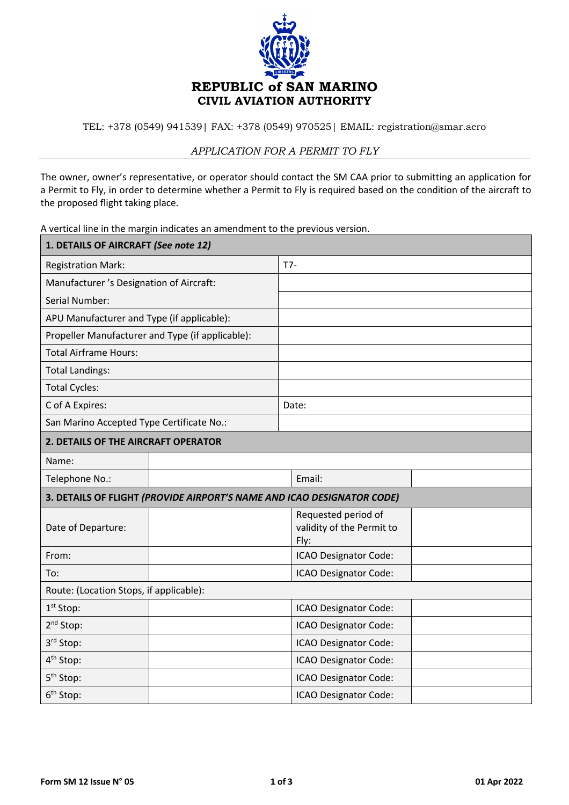

TEL: +378 (0549) 941539| FAX: +378 (0549) 970525| EMAIL: registration@smar.aero

## *APPLICATION FOR A PERMIT TO FLY*

The owner, owner's representative, or operator should contact the SM CAA prior to submitting an application for a Permit to Fly, in order to determine whether a Permit to Fly is required based on the condition of the aircraft to the proposed flight taking place.

A vertical line in the margin indicates an amendment to the previous version.

| 1. DETAILS OF AIRCRAFT (See note 12)                                   |  |                                                          |  |  |  |
|------------------------------------------------------------------------|--|----------------------------------------------------------|--|--|--|
| <b>Registration Mark:</b>                                              |  | $T7-$                                                    |  |  |  |
| Manufacturer 's Designation of Aircraft:                               |  |                                                          |  |  |  |
| Serial Number:                                                         |  |                                                          |  |  |  |
| APU Manufacturer and Type (if applicable):                             |  |                                                          |  |  |  |
| Propeller Manufacturer and Type (if applicable):                       |  |                                                          |  |  |  |
| <b>Total Airframe Hours:</b>                                           |  |                                                          |  |  |  |
| <b>Total Landings:</b>                                                 |  |                                                          |  |  |  |
| <b>Total Cycles:</b>                                                   |  |                                                          |  |  |  |
| C of A Expires:                                                        |  | Date:                                                    |  |  |  |
| San Marino Accepted Type Certificate No.:                              |  |                                                          |  |  |  |
| 2. DETAILS OF THE AIRCRAFT OPERATOR                                    |  |                                                          |  |  |  |
| Name:                                                                  |  |                                                          |  |  |  |
| Telephone No.:                                                         |  | Email:                                                   |  |  |  |
| 3. DETAILS OF FLIGHT (PROVIDE AIRPORT'S NAME AND ICAO DESIGNATOR CODE) |  |                                                          |  |  |  |
| Date of Departure:                                                     |  | Requested period of<br>validity of the Permit to<br>Fly: |  |  |  |
| From:                                                                  |  | ICAO Designator Code:                                    |  |  |  |
| To:                                                                    |  | ICAO Designator Code:                                    |  |  |  |
| Route: (Location Stops, if applicable):                                |  |                                                          |  |  |  |
| $1st$ Stop:                                                            |  | ICAO Designator Code:                                    |  |  |  |
| 2 <sup>nd</sup> Stop:                                                  |  | ICAO Designator Code:                                    |  |  |  |
| 3rd Stop:                                                              |  | ICAO Designator Code:                                    |  |  |  |
| 4 <sup>th</sup> Stop:                                                  |  | ICAO Designator Code:                                    |  |  |  |
| 5 <sup>th</sup> Stop:                                                  |  | ICAO Designator Code:                                    |  |  |  |
| 6 <sup>th</sup> Stop:                                                  |  | ICAO Designator Code:                                    |  |  |  |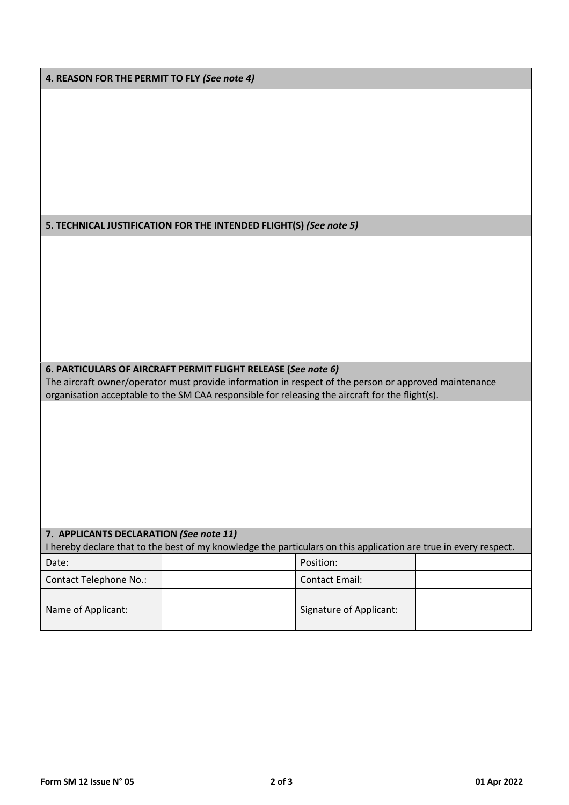| 4. REASON FOR THE PERMIT TO FLY (See note 4)                                                                                                                                                             |                                                               |                                |  |  |  |
|----------------------------------------------------------------------------------------------------------------------------------------------------------------------------------------------------------|---------------------------------------------------------------|--------------------------------|--|--|--|
|                                                                                                                                                                                                          |                                                               |                                |  |  |  |
|                                                                                                                                                                                                          |                                                               |                                |  |  |  |
|                                                                                                                                                                                                          |                                                               |                                |  |  |  |
|                                                                                                                                                                                                          |                                                               |                                |  |  |  |
|                                                                                                                                                                                                          |                                                               |                                |  |  |  |
|                                                                                                                                                                                                          |                                                               |                                |  |  |  |
|                                                                                                                                                                                                          |                                                               |                                |  |  |  |
| 5. TECHNICAL JUSTIFICATION FOR THE INTENDED FLIGHT(S) (See note 5)                                                                                                                                       |                                                               |                                |  |  |  |
|                                                                                                                                                                                                          |                                                               |                                |  |  |  |
|                                                                                                                                                                                                          |                                                               |                                |  |  |  |
|                                                                                                                                                                                                          |                                                               |                                |  |  |  |
|                                                                                                                                                                                                          |                                                               |                                |  |  |  |
|                                                                                                                                                                                                          |                                                               |                                |  |  |  |
|                                                                                                                                                                                                          |                                                               |                                |  |  |  |
|                                                                                                                                                                                                          |                                                               |                                |  |  |  |
|                                                                                                                                                                                                          | 6. PARTICULARS OF AIRCRAFT PERMIT FLIGHT RELEASE (See note 6) |                                |  |  |  |
| The aircraft owner/operator must provide information in respect of the person or approved maintenance<br>organisation acceptable to the SM CAA responsible for releasing the aircraft for the flight(s). |                                                               |                                |  |  |  |
|                                                                                                                                                                                                          |                                                               |                                |  |  |  |
|                                                                                                                                                                                                          |                                                               |                                |  |  |  |
|                                                                                                                                                                                                          |                                                               |                                |  |  |  |
|                                                                                                                                                                                                          |                                                               |                                |  |  |  |
|                                                                                                                                                                                                          |                                                               |                                |  |  |  |
|                                                                                                                                                                                                          |                                                               |                                |  |  |  |
|                                                                                                                                                                                                          |                                                               |                                |  |  |  |
| 7. APPLICANTS DECLARATION (See note 11)                                                                                                                                                                  |                                                               |                                |  |  |  |
| I hereby declare that to the best of my knowledge the particulars on this application are true in every respect.                                                                                         |                                                               |                                |  |  |  |
| Date:                                                                                                                                                                                                    |                                                               | Position:                      |  |  |  |
| <b>Contact Telephone No.:</b>                                                                                                                                                                            |                                                               | <b>Contact Email:</b>          |  |  |  |
| Name of Applicant:                                                                                                                                                                                       |                                                               | <b>Signature of Applicant:</b> |  |  |  |
|                                                                                                                                                                                                          |                                                               |                                |  |  |  |